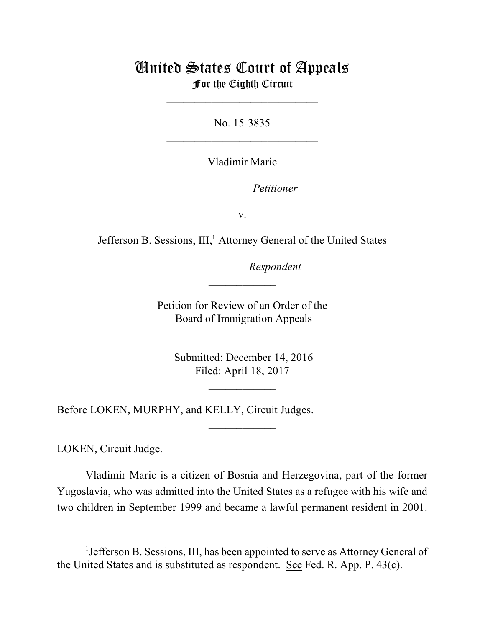## United States Court of Appeals For the Eighth Circuit

\_\_\_\_\_\_\_\_\_\_\_\_\_\_\_\_\_\_\_\_\_\_\_\_\_\_\_

No. 15-3835  $\mathcal{L}_\text{max}$  , which is a set of the set of the set of the set of the set of the set of the set of the set of the set of the set of the set of the set of the set of the set of the set of the set of the set of the set of

Vladimir Maric

*Petitioner* 

v.

Jefferson B. Sessions, III,<sup>1</sup> Attorney General of the United States

lllllllllllllllllllll*Respondent*

Petition for Review of an Order of the Board of Immigration Appeals

 $\overline{\phantom{a}}$  , where  $\overline{\phantom{a}}$ 

 $\frac{1}{2}$ 

 Submitted: December 14, 2016 Filed: April 18, 2017

 $\frac{1}{2}$ 

 $\overline{\phantom{a}}$  , where  $\overline{\phantom{a}}$ 

Before LOKEN, MURPHY, and KELLY, Circuit Judges.

LOKEN, Circuit Judge.

Vladimir Maric is a citizen of Bosnia and Herzegovina, part of the former Yugoslavia, who was admitted into the United States as a refugee with his wife and two children in September 1999 and became a lawful permanent resident in 2001.

<sup>&</sup>lt;sup>1</sup> Jefferson B. Sessions, III, has been appointed to serve as Attorney General of the United States and is substituted as respondent. See Fed. R. App. P. 43(c).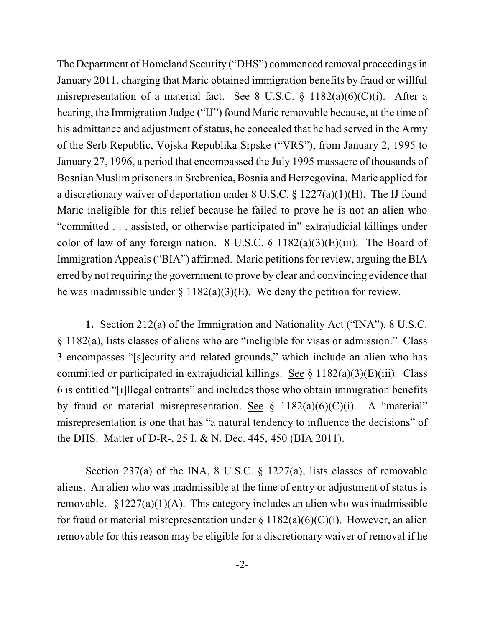The Department of Homeland Security ("DHS") commenced removal proceedingsin January 2011, charging that Maric obtained immigration benefits by fraud or willful misrepresentation of a material fact. See 8 U.S.C. § 1182(a)(6)(C)(i). After a hearing, the Immigration Judge ("IJ") found Maric removable because, at the time of his admittance and adjustment of status, he concealed that he had served in the Army of the Serb Republic, Vojska Republika Srpske ("VRS"), from January 2, 1995 to January 27, 1996, a period that encompassed the July 1995 massacre of thousands of Bosnian Muslim prisoners in Srebrenica, Bosnia and Herzegovina. Maric applied for a discretionary waiver of deportation under 8 U.S.C. § 1227(a)(1)(H). The IJ found Maric ineligible for this relief because he failed to prove he is not an alien who "committed . . . assisted, or otherwise participated in" extrajudicial killings under color of law of any foreign nation. 8 U.S.C.  $\S$  1182(a)(3)(E)(iii). The Board of Immigration Appeals ("BIA") affirmed. Maric petitions for review, arguing the BIA erred by not requiring the government to prove by clear and convincing evidence that he was inadmissible under  $\S 1182(a)(3)(E)$ . We deny the petition for review.

**1.** Section 212(a) of the Immigration and Nationality Act ("INA"), 8 U.S.C. § 1182(a), lists classes of aliens who are "ineligible for visas or admission." Class 3 encompasses "[s]ecurity and related grounds," which include an alien who has committed or participated in extrajudicial killings. See  $\S$  1182(a)(3)(E)(iii). Class 6 is entitled "[i]llegal entrants" and includes those who obtain immigration benefits by fraud or material misrepresentation. See  $\S$  1182(a)(6)(C)(i). A "material" misrepresentation is one that has "a natural tendency to influence the decisions" of the DHS. Matter of D-R-, 25 I. & N. Dec. 445, 450 (BIA 2011).

Section 237(a) of the INA, 8 U.S.C. § 1227(a), lists classes of removable aliens. An alien who was inadmissible at the time of entry or adjustment of status is removable.  $\S 1227(a)(1)(A)$ . This category includes an alien who was inadmissible for fraud or material misrepresentation under  $\S 1182(a)(6)(C)(i)$ . However, an alien removable for this reason may be eligible for a discretionary waiver of removal if he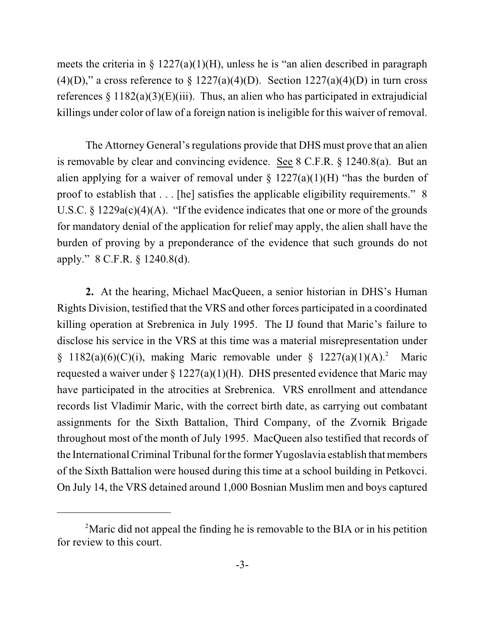meets the criteria in  $\S 1227(a)(1)(H)$ , unless he is "an alien described in paragraph (4)(D)," a cross reference to  $\S 1227(a)(4)(D)$ . Section  $1227(a)(4)(D)$  in turn cross references  $\S 1182(a)(3)(E)(iii)$ . Thus, an alien who has participated in extrajudicial killings under color of law of a foreign nation is ineligible for this waiver of removal.

The Attorney General's regulations provide that DHS must prove that an alien is removable by clear and convincing evidence. See 8 C.F.R. § 1240.8(a). But an alien applying for a waiver of removal under  $\S$  1227(a)(1)(H) "has the burden of proof to establish that . . . [he] satisfies the applicable eligibility requirements." 8 U.S.C. § 1229a(c)(4)(A). "If the evidence indicates that one or more of the grounds for mandatory denial of the application for relief may apply, the alien shall have the burden of proving by a preponderance of the evidence that such grounds do not apply." 8 C.F.R. § 1240.8(d).

**2.** At the hearing, Michael MacQueen, a senior historian in DHS's Human Rights Division, testified that the VRS and other forces participated in a coordinated killing operation at Srebrenica in July 1995. The IJ found that Maric's failure to disclose his service in the VRS at this time was a material misrepresentation under § 1182(a)(6)(C)(i), making Maric removable under § 1227(a)(1)(A).<sup>2</sup> Maric requested a waiver under  $\S 1227(a)(1)(H)$ . DHS presented evidence that Maric may have participated in the atrocities at Srebrenica. VRS enrollment and attendance records list Vladimir Maric, with the correct birth date, as carrying out combatant assignments for the Sixth Battalion, Third Company, of the Zvornik Brigade throughout most of the month of July 1995. MacQueen also testified that records of the International Criminal Tribunal for the former Yugoslavia establish that members of the Sixth Battalion were housed during this time at a school building in Petkovci. On July 14, the VRS detained around 1,000 Bosnian Muslim men and boys captured

<sup>&</sup>lt;sup>2</sup>Maric did not appeal the finding he is removable to the BIA or in his petition for review to this court.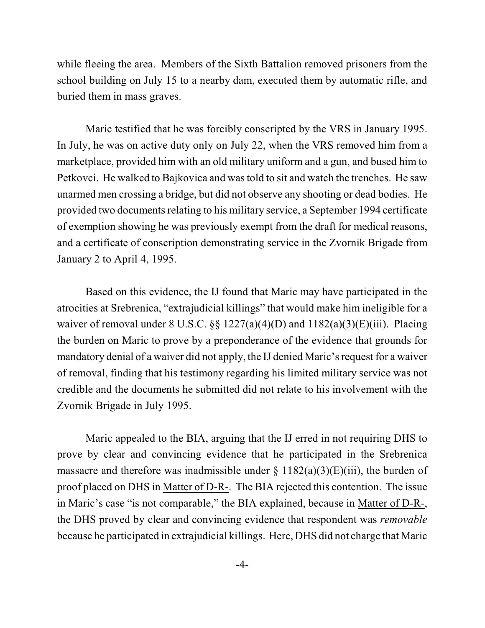while fleeing the area. Members of the Sixth Battalion removed prisoners from the school building on July 15 to a nearby dam, executed them by automatic rifle, and buried them in mass graves.

Maric testified that he was forcibly conscripted by the VRS in January 1995. In July, he was on active duty only on July 22, when the VRS removed him from a marketplace, provided him with an old military uniform and a gun, and bused him to Petkovci. He walked to Bajkovica and wastold to sit and watch the trenches. He saw unarmed men crossing a bridge, but did not observe any shooting or dead bodies. He provided two documents relating to his military service, a September 1994 certificate of exemption showing he was previously exempt from the draft for medical reasons, and a certificate of conscription demonstrating service in the Zvornik Brigade from January 2 to April 4, 1995.

Based on this evidence, the IJ found that Maric may have participated in the atrocities at Srebrenica, "extrajudicial killings" that would make him ineligible for a waiver of removal under 8 U.S.C.  $\S$   $\S$  1227(a)(4)(D) and 1182(a)(3)(E)(iii). Placing the burden on Maric to prove by a preponderance of the evidence that grounds for mandatory denial of a waiver did not apply, the IJ denied Maric's request for a waiver of removal, finding that his testimony regarding his limited military service was not credible and the documents he submitted did not relate to his involvement with the Zvornik Brigade in July 1995.

Maric appealed to the BIA, arguing that the IJ erred in not requiring DHS to prove by clear and convincing evidence that he participated in the Srebrenica massacre and therefore was inadmissible under  $\S$  1182(a)(3)(E)(iii), the burden of proof placed on DHS in Matter of D-R-. The BIA rejected this contention. The issue in Maric's case "is not comparable," the BIA explained, because in Matter of D-R-, the DHS proved by clear and convincing evidence that respondent was *removable* because he participated in extrajudicial killings. Here, DHS did not charge that Maric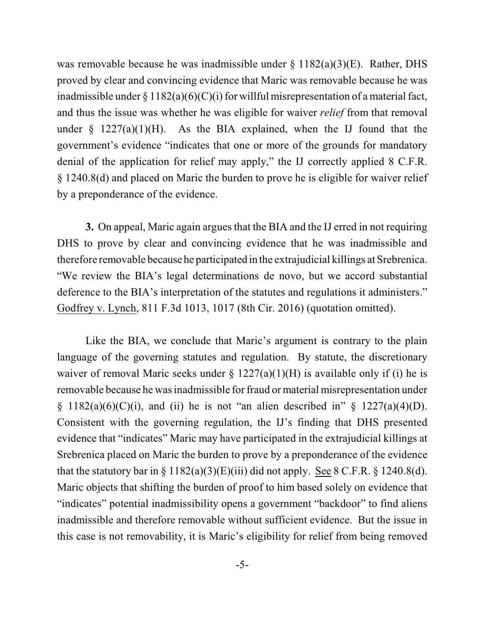was removable because he was inadmissible under  $\S$  1182(a)(3)(E). Rather, DHS proved by clear and convincing evidence that Maric was removable because he was inadmissible under  $\S 1182(a)(6)(C)(i)$  for willful misrepresentation of a material fact, and thus the issue was whether he was eligible for waiver *relief* from that removal under  $\S$  1227(a)(1)(H). As the BIA explained, when the IJ found that the government's evidence "indicates that one or more of the grounds for mandatory denial of the application for relief may apply," the IJ correctly applied 8 C.F.R. § 1240.8(d) and placed on Maric the burden to prove he is eligible for waiver relief by a preponderance of the evidence.

**3.** On appeal, Maric again argues that the BIA and the IJ erred in not requiring DHS to prove by clear and convincing evidence that he was inadmissible and therefore removable because he participated in the extrajudicial killings at Srebrenica. "We review the BIA's legal determinations de novo, but we accord substantial deference to the BIA's interpretation of the statutes and regulations it administers." Godfrey v. Lynch, 811 F.3d 1013, 1017 (8th Cir. 2016) (quotation omitted).

Like the BIA, we conclude that Maric's argument is contrary to the plain language of the governing statutes and regulation. By statute, the discretionary waiver of removal Maric seeks under  $\S 1227(a)(1)(H)$  is available only if (i) he is removable because he wasinadmissible for fraud or material misrepresentation under § 1182(a)(6)(C)(i), and (ii) he is not "an alien described in" § 1227(a)(4)(D). Consistent with the governing regulation, the IJ's finding that DHS presented evidence that "indicates" Maric may have participated in the extrajudicial killings at Srebrenica placed on Maric the burden to prove by a preponderance of the evidence that the statutory bar in  $\S 1182(a)(3)(E)(iii)$  did not apply. See 8 C.F.R.  $\S 1240.8(d)$ . Maric objects that shifting the burden of proof to him based solely on evidence that "indicates" potential inadmissibility opens a government "backdoor" to find aliens inadmissible and therefore removable without sufficient evidence. But the issue in this case is not removability, it is Maric's eligibility for relief from being removed